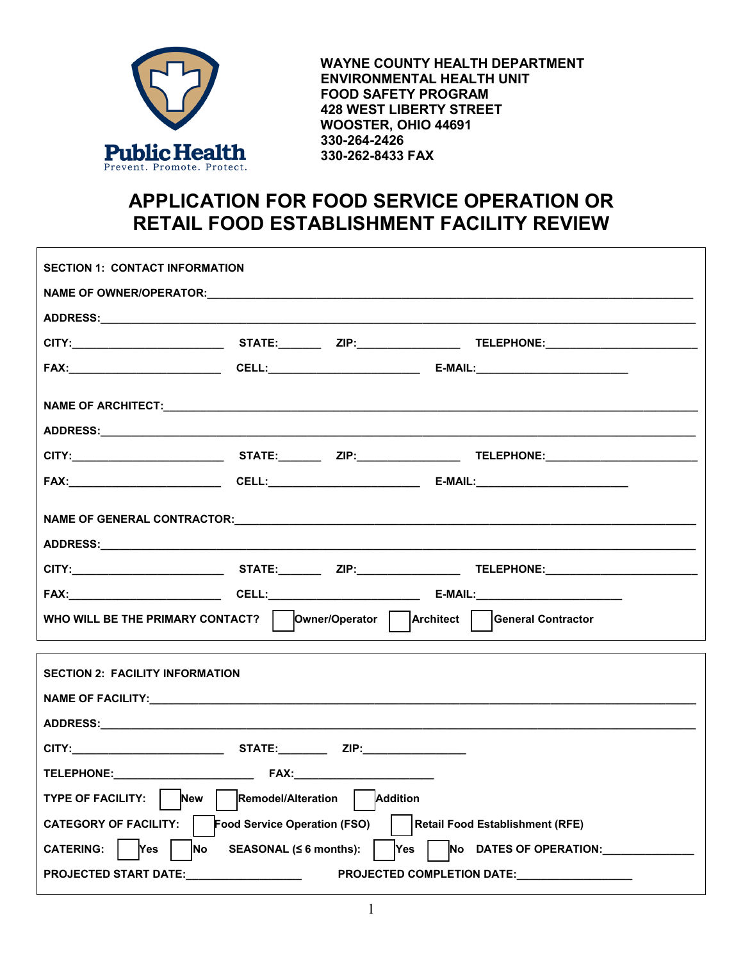

 **WAYNE COUNTY HEALTH DEPARTMENT ENVIRONMENTAL HEALTH UNIT FOOD SAFETY PROGRAM 428 WEST LIBERTY STREET WOOSTER, OHIO 44691 330-264-2426 330-262-8433 FAX**

## **APPLICATION FOR FOOD SERVICE OPERATION OR RETAIL FOOD ESTABLISHMENT FACILITY REVIEW**

| <b>SECTION 1: CONTACT INFORMATION</b>                                                                                    |  |  |  |  |  |  |  |
|--------------------------------------------------------------------------------------------------------------------------|--|--|--|--|--|--|--|
|                                                                                                                          |  |  |  |  |  |  |  |
|                                                                                                                          |  |  |  |  |  |  |  |
|                                                                                                                          |  |  |  |  |  |  |  |
|                                                                                                                          |  |  |  |  |  |  |  |
|                                                                                                                          |  |  |  |  |  |  |  |
|                                                                                                                          |  |  |  |  |  |  |  |
|                                                                                                                          |  |  |  |  |  |  |  |
|                                                                                                                          |  |  |  |  |  |  |  |
|                                                                                                                          |  |  |  |  |  |  |  |
|                                                                                                                          |  |  |  |  |  |  |  |
| WHO WILL BE THE PRIMARY CONTACT?   Owner/Operator   Architect   General Contractor                                       |  |  |  |  |  |  |  |
| <b>SECTION 2: FACILITY INFORMATION</b>                                                                                   |  |  |  |  |  |  |  |
|                                                                                                                          |  |  |  |  |  |  |  |
|                                                                                                                          |  |  |  |  |  |  |  |
|                                                                                                                          |  |  |  |  |  |  |  |
|                                                                                                                          |  |  |  |  |  |  |  |
| TYPE OF FACILITY: New   Remodel/Alteration   Addition                                                                    |  |  |  |  |  |  |  |
| CATEGORY OF FACILITY:  <br>Food Service Operation (FSO)     Retail Food Establishment (RFE)                              |  |  |  |  |  |  |  |
| SEASONAL ( $\leq 6$ months): $\qquad$ Yes $\qquad$ No DATES OF OPERATION:<br>CATERING:   Yes<br>$\overline{\mathsf{No}}$ |  |  |  |  |  |  |  |
| <b>PROJECTED START DATE:</b><br>PROJECTED COMPLETION DATE: PROJECTED COMPLETION                                          |  |  |  |  |  |  |  |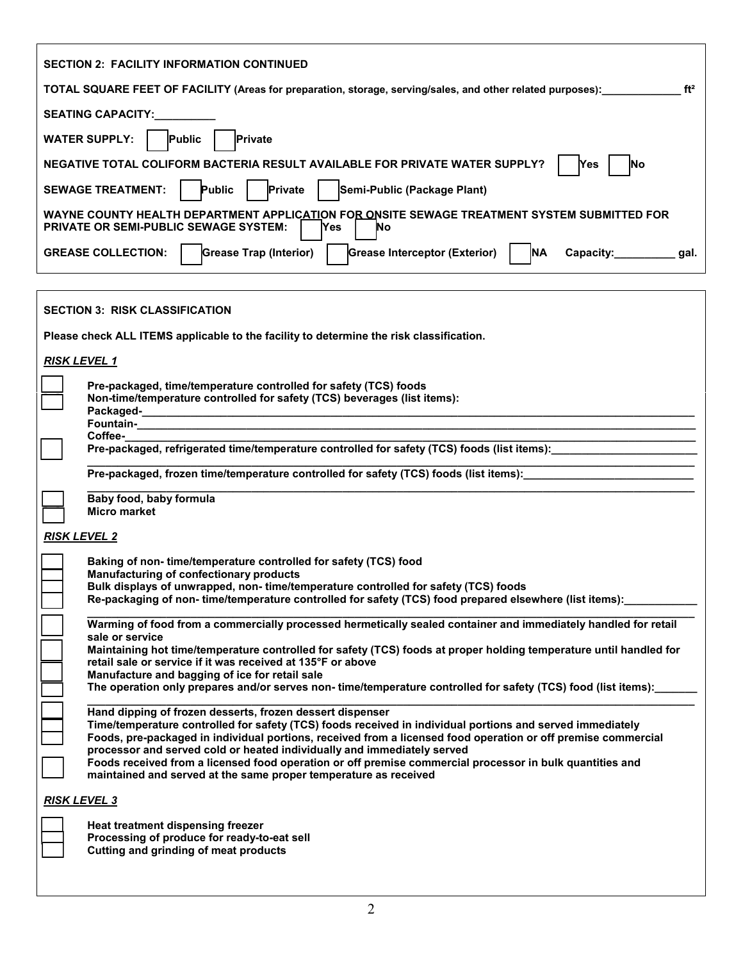| <b>SECTION 2: FACILITY INFORMATION CONTINUED</b>                                                                                                                                                                           |  |  |  |  |  |  |  |
|----------------------------------------------------------------------------------------------------------------------------------------------------------------------------------------------------------------------------|--|--|--|--|--|--|--|
| ft <sup>2</sup><br>TOTAL SQUARE FEET OF FACILITY (Areas for preparation, storage, serving/sales, and other related purposes):                                                                                              |  |  |  |  |  |  |  |
| <b>SEATING CAPACITY:</b>                                                                                                                                                                                                   |  |  |  |  |  |  |  |
| Public<br><b>WATER SUPPLY:</b><br>Private                                                                                                                                                                                  |  |  |  |  |  |  |  |
| NEGATIVE TOTAL COLIFORM BACTERIA RESULT AVAILABLE FOR PRIVATE WATER SUPPLY?<br>Yes<br>No                                                                                                                                   |  |  |  |  |  |  |  |
| <b>Public</b><br>Private<br>Semi-Public (Package Plant)<br><b>SEWAGE TREATMENT:</b>                                                                                                                                        |  |  |  |  |  |  |  |
| WAYNE COUNTY HEALTH DEPARTMENT APPLICATION FOR ONSITE SEWAGE TREATMENT SYSTEM SUBMITTED FOR<br><b>PRIVATE OR SEMI-PUBLIC SEWAGE SYSTEM:</b><br><b>Yes</b><br>No                                                            |  |  |  |  |  |  |  |
| <b>Grease Trap (Interior)</b><br>Grease Interceptor (Exterior)<br><b>NA</b><br><b>GREASE COLLECTION:</b><br>Capacity:___________gal.                                                                                       |  |  |  |  |  |  |  |
|                                                                                                                                                                                                                            |  |  |  |  |  |  |  |
| <b>SECTION 3: RISK CLASSIFICATION</b>                                                                                                                                                                                      |  |  |  |  |  |  |  |
| Please check ALL ITEMS applicable to the facility to determine the risk classification.                                                                                                                                    |  |  |  |  |  |  |  |
| <b>RISK LEVEL 1</b>                                                                                                                                                                                                        |  |  |  |  |  |  |  |
| Pre-packaged, time/temperature controlled for safety (TCS) foods<br>Non-time/temperature controlled for safety (TCS) beverages (list items):                                                                               |  |  |  |  |  |  |  |
|                                                                                                                                                                                                                            |  |  |  |  |  |  |  |
| Coffee-<br>Pre-packaged, refrigerated time/temperature controlled for safety (TCS) foods (list items):                                                                                                                     |  |  |  |  |  |  |  |
|                                                                                                                                                                                                                            |  |  |  |  |  |  |  |
| Pre-packaged, frozen time/temperature controlled for safety (TCS) foods (list items): ________________________                                                                                                             |  |  |  |  |  |  |  |
| Baby food, baby formula<br><b>Micro market</b>                                                                                                                                                                             |  |  |  |  |  |  |  |
| <b>RISK LEVEL 2</b>                                                                                                                                                                                                        |  |  |  |  |  |  |  |
| Baking of non-time/temperature controlled for safety (TCS) food                                                                                                                                                            |  |  |  |  |  |  |  |
| <b>Manufacturing of confectionary products</b><br>Bulk displays of unwrapped, non-time/temperature controlled for safety (TCS) foods                                                                                       |  |  |  |  |  |  |  |
| Re-packaging of non- time/temperature controlled for safety (TCS) food prepared elsewhere (list items):                                                                                                                    |  |  |  |  |  |  |  |
| Warming of food from a commercially processed hermetically sealed container and immediately handled for retail<br>sale or service                                                                                          |  |  |  |  |  |  |  |
| Maintaining hot time/temperature controlled for safety (TCS) foods at proper holding temperature until handled for                                                                                                         |  |  |  |  |  |  |  |
| retail sale or service if it was received at 135°F or above<br>Manufacture and bagging of ice for retail sale                                                                                                              |  |  |  |  |  |  |  |
| The operation only prepares and/or serves non-time/temperature controlled for safety (TCS) food (list items):                                                                                                              |  |  |  |  |  |  |  |
| Hand dipping of frozen desserts, frozen dessert dispenser                                                                                                                                                                  |  |  |  |  |  |  |  |
| Time/temperature controlled for safety (TCS) foods received in individual portions and served immediately<br>Foods, pre-packaged in individual portions, received from a licensed food operation or off premise commercial |  |  |  |  |  |  |  |
| processor and served cold or heated individually and immediately served                                                                                                                                                    |  |  |  |  |  |  |  |
| Foods received from a licensed food operation or off premise commercial processor in bulk quantities and<br>maintained and served at the same proper temperature as received                                               |  |  |  |  |  |  |  |
| <b>RISK LEVEL 3</b>                                                                                                                                                                                                        |  |  |  |  |  |  |  |
| Heat treatment dispensing freezer                                                                                                                                                                                          |  |  |  |  |  |  |  |
| Processing of produce for ready-to-eat sell<br>Cutting and grinding of meat products                                                                                                                                       |  |  |  |  |  |  |  |
|                                                                                                                                                                                                                            |  |  |  |  |  |  |  |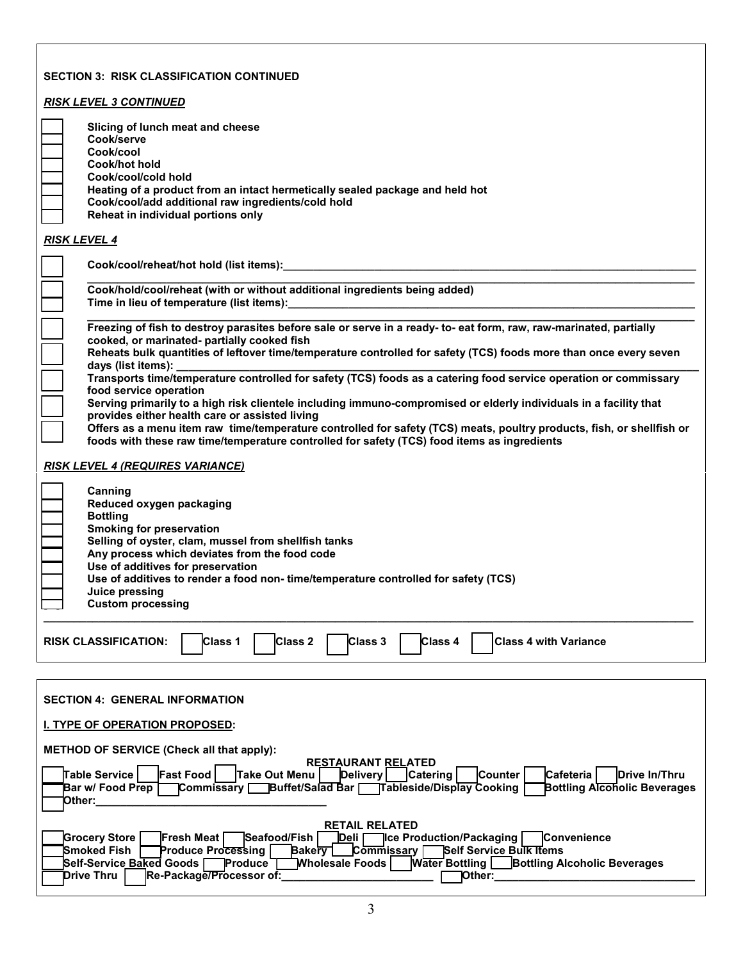| <b>SECTION 3: RISK CLASSIFICATION CONTINUED</b>                                                                                                                                                                                                                                                                                                                                                                                           |  |  |  |  |  |
|-------------------------------------------------------------------------------------------------------------------------------------------------------------------------------------------------------------------------------------------------------------------------------------------------------------------------------------------------------------------------------------------------------------------------------------------|--|--|--|--|--|
| <b>RISK LEVEL 3 CONTINUED</b>                                                                                                                                                                                                                                                                                                                                                                                                             |  |  |  |  |  |
| Slicing of lunch meat and cheese<br>Cook/serve<br>Cook/cool<br>Cook/hot hold<br>Cook/cool/cold hold<br>Heating of a product from an intact hermetically sealed package and held hot<br>Cook/cool/add additional raw ingredients/cold hold<br>Reheat in individual portions only                                                                                                                                                           |  |  |  |  |  |
| <b>RISK LEVEL 4</b>                                                                                                                                                                                                                                                                                                                                                                                                                       |  |  |  |  |  |
| Cook/cool/reheat/hot hold (list items): __________                                                                                                                                                                                                                                                                                                                                                                                        |  |  |  |  |  |
| Cook/hold/cool/reheat (with or without additional ingredients being added)<br>Time in lieu of temperature (list items):                                                                                                                                                                                                                                                                                                                   |  |  |  |  |  |
| Freezing of fish to destroy parasites before sale or serve in a ready- to-eat form, raw, raw-marinated, partially<br>cooked, or marinated- partially cooked fish<br>Reheats bulk quantities of leftover time/temperature controlled for safety (TCS) foods more than once every seven                                                                                                                                                     |  |  |  |  |  |
| days (list items):<br>Transports time/temperature controlled for safety (TCS) foods as a catering food service operation or commissary<br>food service operation<br>Serving primarily to a high risk clientele including immuno-compromised or elderly individuals in a facility that<br>provides either health care or assisted living                                                                                                   |  |  |  |  |  |
| Offers as a menu item raw time/temperature controlled for safety (TCS) meats, poultry products, fish, or shellfish or<br>foods with these raw time/temperature controlled for safety (TCS) food items as ingredients                                                                                                                                                                                                                      |  |  |  |  |  |
| <u>RISK LEVEL 4 (REQUIRES VARIANCE)</u><br>Canning<br>Reduced oxygen packaging<br><b>Bottling</b><br><b>Smoking for preservation</b><br>Selling of oyster, clam, mussel from shellfish tanks<br>Any process which deviates from the food code<br>Use of additives for preservation<br>Use of additives to render a food non-time/temperature controlled for safety (TCS)<br>Juice pressing<br><b>Custom processing</b>                    |  |  |  |  |  |
| Class 4<br>Class 1<br><b>Class 2</b><br>Class 3<br><b>Class 4 with Variance</b><br><b>RISK CLASSIFICATION:</b>                                                                                                                                                                                                                                                                                                                            |  |  |  |  |  |
| <b>SECTION 4: GENERAL INFORMATION</b><br><b>I. TYPE OF OPERATION PROPOSED:</b><br><b>METHOD OF SERVICE (Check all that apply):</b><br><b>RESTAURANT RELATED</b><br><b>Fast Food</b><br>∏able Service ∣<br>Take Out Menu<br>Delivery<br><b>Catering</b><br><b>Counter</b><br>Cafeteria<br>Drive In/Thru                                                                                                                                    |  |  |  |  |  |
| Commissary Buffet/Salad Bar   Tableside/Display Cooking<br><b>Bottling Alcoholic Beverages</b><br>Bar w/ Food Prep<br>Other:_<br><b>RETAIL RELATED</b>                                                                                                                                                                                                                                                                                    |  |  |  |  |  |
| <b>Grocery Store</b><br>Seafood/Fish<br>Convenience<br><b>Fresh Meat I</b><br><u>IDeli</u><br><b>Ice Production/Packaging</b><br>Commissary ∏<br>Smoked Fish<br>Self Service Bulk Items<br>Produce Processing  <br><b>Bakery</b><br><b>Water Bottling</b><br>Self-Service Baked Goods<br>Produce <sup>-</sup><br><b>Bottling Alcoholic Beverages</b><br><b>Mholesale Foods</b><br>Re-Package/Processor of:<br><b>Drive Thru</b><br>Other: |  |  |  |  |  |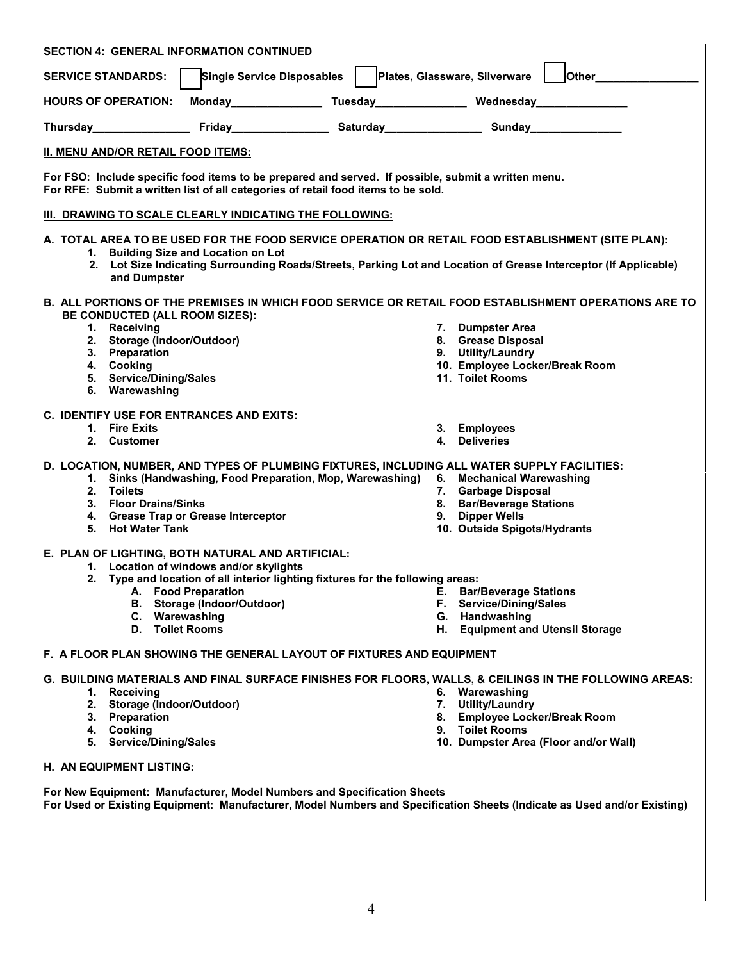| <b>SECTION 4: GENERAL INFORMATION CONTINUED</b>                                                                                                                                                                                                                               |                                                          |  |  |  |  |  |  |  |  |
|-------------------------------------------------------------------------------------------------------------------------------------------------------------------------------------------------------------------------------------------------------------------------------|----------------------------------------------------------|--|--|--|--|--|--|--|--|
| <b>Single Service Disposables</b><br><b>SERVICE STANDARDS:</b>                                                                                                                                                                                                                | Other_<br>Plates, Glassware, Silverware                  |  |  |  |  |  |  |  |  |
| Monday Tuesday Nednesday Wednesday<br><b>HOURS OF OPERATION:</b>                                                                                                                                                                                                              |                                                          |  |  |  |  |  |  |  |  |
| Thursday <b>Example 20 Friday Contract Contract Contract Contract Contract Contract Contract Contract Contract Contract Contract Contract Contract Contract Contract Contract Contract Contract Contract Contract Contract Contr</b>                                          |                                                          |  |  |  |  |  |  |  |  |
| II. MENU AND/OR RETAIL FOOD ITEMS:                                                                                                                                                                                                                                            |                                                          |  |  |  |  |  |  |  |  |
| For FSO: Include specific food items to be prepared and served. If possible, submit a written menu.<br>For RFE: Submit a written list of all categories of retail food items to be sold.                                                                                      |                                                          |  |  |  |  |  |  |  |  |
| <b>III. DRAWING TO SCALE CLEARLY INDICATING THE FOLLOWING:</b>                                                                                                                                                                                                                |                                                          |  |  |  |  |  |  |  |  |
| A. TOTAL AREA TO BE USED FOR THE FOOD SERVICE OPERATION OR RETAIL FOOD ESTABLISHMENT (SITE PLAN):<br>1. Building Size and Location on Lot<br>2. Lot Size Indicating Surrounding Roads/Streets, Parking Lot and Location of Grease Interceptor (If Applicable)<br>and Dumpster |                                                          |  |  |  |  |  |  |  |  |
| B. ALL PORTIONS OF THE PREMISES IN WHICH FOOD SERVICE OR RETAIL FOOD ESTABLISHMENT OPERATIONS ARE TO<br>BE CONDUCTED (ALL ROOM SIZES):                                                                                                                                        |                                                          |  |  |  |  |  |  |  |  |
| 1. Receiving                                                                                                                                                                                                                                                                  | 7. Dumpster Area                                         |  |  |  |  |  |  |  |  |
| 2. Storage (Indoor/Outdoor)                                                                                                                                                                                                                                                   | 8. Grease Disposal                                       |  |  |  |  |  |  |  |  |
| 3. Preparation<br>4. Cooking                                                                                                                                                                                                                                                  | 9. Utility/Laundry<br>10. Employee Locker/Break Room     |  |  |  |  |  |  |  |  |
| 5. Service/Dining/Sales                                                                                                                                                                                                                                                       | 11. Toilet Rooms                                         |  |  |  |  |  |  |  |  |
| 6. Warewashing                                                                                                                                                                                                                                                                |                                                          |  |  |  |  |  |  |  |  |
| <b>C. IDENTIFY USE FOR ENTRANCES AND EXITS:</b>                                                                                                                                                                                                                               |                                                          |  |  |  |  |  |  |  |  |
| 1. Fire Exits<br>2. Customer                                                                                                                                                                                                                                                  | 3. Employees<br>4. Deliveries                            |  |  |  |  |  |  |  |  |
|                                                                                                                                                                                                                                                                               |                                                          |  |  |  |  |  |  |  |  |
| D. LOCATION, NUMBER, AND TYPES OF PLUMBING FIXTURES, INCLUDING ALL WATER SUPPLY FACILITIES:<br>1. Sinks (Handwashing, Food Preparation, Mop, Warewashing)                                                                                                                     | 6. Mechanical Warewashing                                |  |  |  |  |  |  |  |  |
| 2. Toilets                                                                                                                                                                                                                                                                    | 7. Garbage Disposal                                      |  |  |  |  |  |  |  |  |
| 3. Floor Drains/Sinks                                                                                                                                                                                                                                                         | 8. Bar/Beverage Stations                                 |  |  |  |  |  |  |  |  |
| 4. Grease Trap or Grease Interceptor<br>5. Hot Water Tank                                                                                                                                                                                                                     | 9. Dipper Wells<br>10. Outside Spigots/Hydrants          |  |  |  |  |  |  |  |  |
|                                                                                                                                                                                                                                                                               |                                                          |  |  |  |  |  |  |  |  |
| E. PLAN OF LIGHTING, BOTH NATURAL AND ARTIFICIAL:<br>1. Location of windows and/or skylights                                                                                                                                                                                  |                                                          |  |  |  |  |  |  |  |  |
| 2. Type and location of all interior lighting fixtures for the following areas:                                                                                                                                                                                               |                                                          |  |  |  |  |  |  |  |  |
| A. Food Preparation                                                                                                                                                                                                                                                           | <b>E.</b> Bar/Beverage Stations                          |  |  |  |  |  |  |  |  |
| B. Storage (Indoor/Outdoor)<br>C. Warewashing                                                                                                                                                                                                                                 | <b>Service/Dining/Sales</b><br>F.                        |  |  |  |  |  |  |  |  |
| D. Toilet Rooms                                                                                                                                                                                                                                                               | G. Handwashing<br>H. Equipment and Utensil Storage       |  |  |  |  |  |  |  |  |
| <b>F. A FLOOR PLAN SHOWING THE GENERAL LAYOUT OF FIXTURES AND EQUIPMENT</b>                                                                                                                                                                                                   |                                                          |  |  |  |  |  |  |  |  |
|                                                                                                                                                                                                                                                                               |                                                          |  |  |  |  |  |  |  |  |
| G. BUILDING MATERIALS AND FINAL SURFACE FINISHES FOR FLOORS, WALLS, & CEILINGS IN THE FOLLOWING AREAS:<br>1. Receiving                                                                                                                                                        | 6. Warewashing                                           |  |  |  |  |  |  |  |  |
| 2. Storage (Indoor/Outdoor)                                                                                                                                                                                                                                                   | 7. Utility/Laundry                                       |  |  |  |  |  |  |  |  |
| 3. Preparation                                                                                                                                                                                                                                                                | 8. Employee Locker/Break Room                            |  |  |  |  |  |  |  |  |
| 4. Cooking<br>5. Service/Dining/Sales                                                                                                                                                                                                                                         | 9. Toilet Rooms<br>10. Dumpster Area (Floor and/or Wall) |  |  |  |  |  |  |  |  |
| H. AN EQUIPMENT LISTING:                                                                                                                                                                                                                                                      |                                                          |  |  |  |  |  |  |  |  |
| For New Equipment: Manufacturer, Model Numbers and Specification Sheets                                                                                                                                                                                                       |                                                          |  |  |  |  |  |  |  |  |
| For Used or Existing Equipment: Manufacturer, Model Numbers and Specification Sheets (Indicate as Used and/or Existing)                                                                                                                                                       |                                                          |  |  |  |  |  |  |  |  |
|                                                                                                                                                                                                                                                                               |                                                          |  |  |  |  |  |  |  |  |
|                                                                                                                                                                                                                                                                               |                                                          |  |  |  |  |  |  |  |  |
|                                                                                                                                                                                                                                                                               |                                                          |  |  |  |  |  |  |  |  |